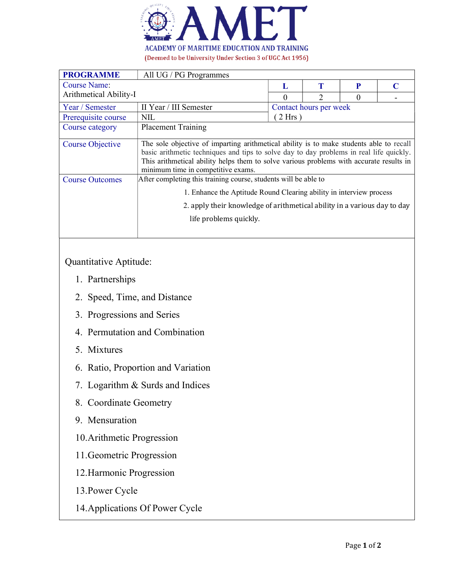

| <b>PROGRAMME</b>        | All UG / PG Programmes                                                                                                                                                                                                                                                                                              |                        |  |          |          |
|-------------------------|---------------------------------------------------------------------------------------------------------------------------------------------------------------------------------------------------------------------------------------------------------------------------------------------------------------------|------------------------|--|----------|----------|
| Course Name:            |                                                                                                                                                                                                                                                                                                                     | L                      |  | P        | $\Gamma$ |
| Arithmetical Ability-I  |                                                                                                                                                                                                                                                                                                                     |                        |  | $\theta$ |          |
| Year / Semester         | II Year / III Semester                                                                                                                                                                                                                                                                                              | Contact hours per week |  |          |          |
| Prerequisite course     | <b>NIL</b>                                                                                                                                                                                                                                                                                                          | $2$ Hrs                |  |          |          |
| Course category         | <b>Placement Training</b>                                                                                                                                                                                                                                                                                           |                        |  |          |          |
| <b>Course Objective</b> | The sole objective of imparting arithmetical ability is to make students able to recall<br>basic arithmetic techniques and tips to solve day to day problems in real life quickly.<br>This arithmetical ability helps them to solve various problems with accurate results in<br>minimum time in competitive exams. |                        |  |          |          |
| <b>Course Outcomes</b>  | After completing this training course, students will be able to                                                                                                                                                                                                                                                     |                        |  |          |          |
|                         | 1. Enhance the Aptitude Round Clearing ability in interview process                                                                                                                                                                                                                                                 |                        |  |          |          |
|                         | 2. apply their knowledge of arithmetical ability in a various day to day                                                                                                                                                                                                                                            |                        |  |          |          |
|                         | life problems quickly.                                                                                                                                                                                                                                                                                              |                        |  |          |          |
|                         |                                                                                                                                                                                                                                                                                                                     |                        |  |          |          |

## Quantitative Aptitude:

- 1. Partnerships
- 2. Speed, Time, and Distance
- 3. Progressions and Series
- 4. Permutation and Combination
- 5. Mixtures
- 6. Ratio, Proportion and Variation
- 7. Logarithm & Surds and Indices
- 8. Coordinate Geometry
- 9. Mensuration
- 10.Arithmetic Progression
- 11.Geometric Progression
- 12.Harmonic Progression
- 13.Power Cycle
- 14.Applications Of Power Cycle